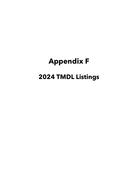## **Appendix F 2024 TMDL Listings**